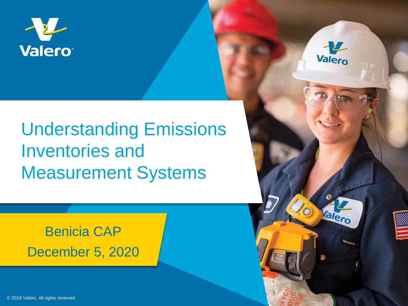

# Understanding Emissions Inventories and Measurement Systems

## Benicia CAP December 5, 2020



96

Valero

© 2018 Valero. All rights reserved.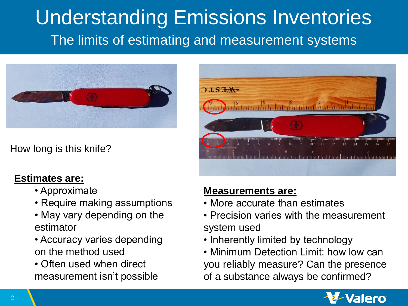# Understanding Emissions Inventories The limits of estimating and measurement systems



How long is this knife?

#### **Estimates are:**

- Approximate
- Require making assumptions
- May vary depending on the estimator
- Accuracy varies depending on the method used
- Often used when direct measurement isn't possible



#### **Measurements are:**

- More accurate than estimates
- Precision varies with the measurement system used
- Inherently limited by technology
- Minimum Detection Limit: how low can you reliably measure? Can the presence of a substance always be confirmed?

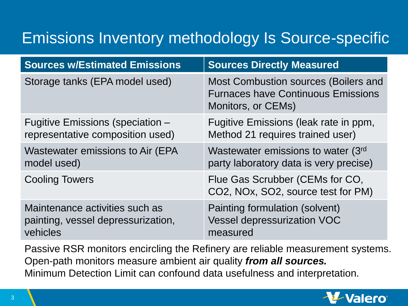# Emissions Inventory methodology Is Source-specific

| <b>Sources w/Estimated Emissions</b>     | <b>Sources Directly Measured</b>                                                                        |
|------------------------------------------|---------------------------------------------------------------------------------------------------------|
| Storage tanks (EPA model used)           | Most Combustion sources (Boilers and<br><b>Furnaces have Continuous Emissions</b><br>Monitors, or CEMs) |
| Fugitive Emissions (speciation -         | Fugitive Emissions (leak rate in ppm,                                                                   |
| representative composition used)         | Method 21 requires trained user)                                                                        |
| <b>Wastewater emissions to Air (EPA)</b> | Wastewater emissions to water (3rd                                                                      |
| model used)                              | party laboratory data is very precise)                                                                  |
| <b>Cooling Towers</b>                    | Flue Gas Scrubber (CEMs for CO,<br>CO2, NOx, SO2, source test for PM)                                   |
| Maintenance activities such as           | Painting formulation (solvent)                                                                          |
| painting, vessel depressurization,       | <b>Vessel depressurization VOC</b>                                                                      |
| vehicles                                 | measured                                                                                                |

Passive RSR monitors encircling the Refinery are reliable measurement systems. Open-path monitors measure ambient air quality *from all sources.* Minimum Detection Limit can confound data usefulness and interpretation.

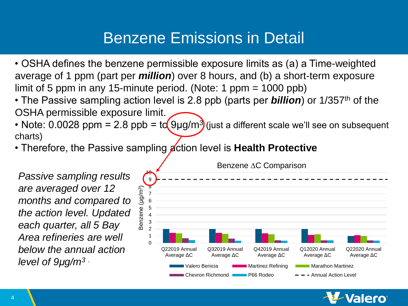### Benzene Emissions in Detail

- OSHA defines the benzene permissible exposure limits as (a) a Time-weighted average of 1 ppm (part per *million*) over 8 hours, and (b) a short-term exposure limit of 5 ppm in any 15-minute period. (Note: 1 ppm = 1000 ppb)
- The Passive sampling action level is 2.8 ppb (parts per *billion*) or 1/357<sup>th</sup> of the OSHA permissible exposure limit.
- Note: 0.0028 ppm = 2.8 ppb = to  $9\mu g/m^3$  (just a different scale we'll see on subsequent charts)
- Therefore, the Passive sampling **action level is Health Protective**

*Passive sampling results are averaged over 12 months and compared to the action level. Updated each quarter, all 5 Bay Area refineries are well below the annual action level of 9μg/m<sup>3</sup> .*

Benzene ∆C Comparison  $\blacklozenge$ 9  $(\mu g/m^3)$ 8 Benzene (µg/m3 7 6 Benzene 5 4 3 2 1 0 Q22019 Annual Q32019 Annual Q42019 Annual Q12020 Annual Q22020 Annual Average ΔC Average ΔC Average ΔC Average ΔC Average ΔC Valero Benicia Martinez Refining Marting Marathon Martinez Chevron Richmond **P66 Rodeo**  $-$  Annual Action Level

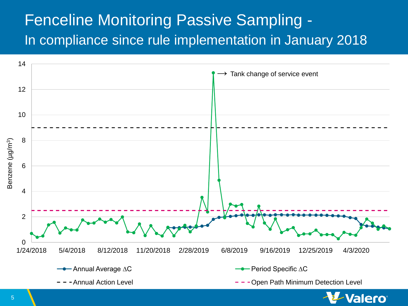## Fenceline Monitoring Passive Sampling - In compliance since rule implementation in January 2018



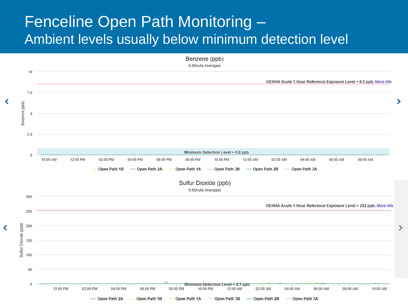### Fenceline Open Path Monitoring – Ambient levels usually below minimum detection level